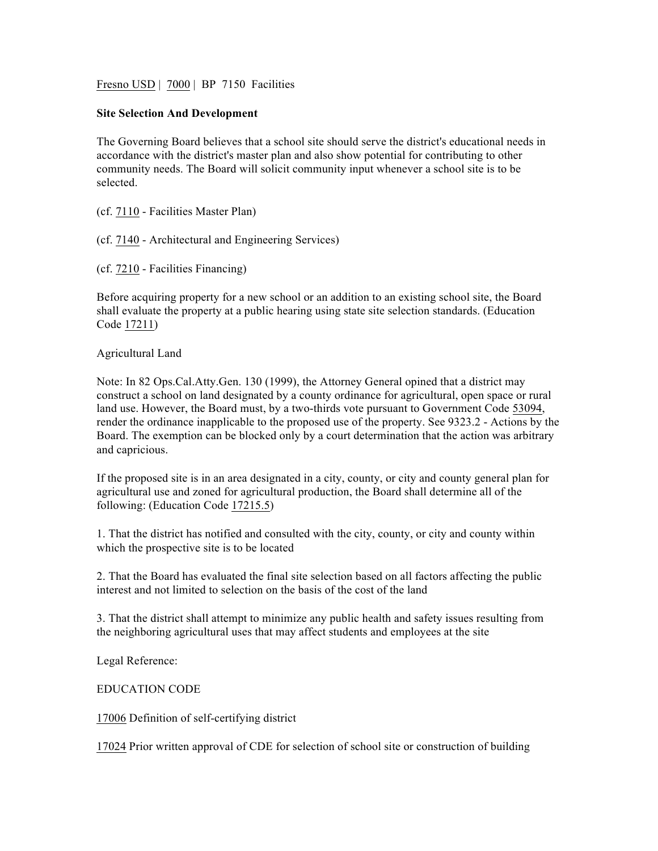Fresno USD | 7000 | BP 7150 Facilities

## **Site Selection And Development**

The Governing Board believes that a school site should serve the district's educational needs in accordance with the district's master plan and also show potential for contributing to other community needs. The Board will solicit community input whenever a school site is to be selected.

(cf. 7110 - Facilities Master Plan)

(cf. 7140 - Architectural and Engineering Services)

(cf. 7210 - Facilities Financing)

Before acquiring property for a new school or an addition to an existing school site, the Board shall evaluate the property at a public hearing using state site selection standards. (Education Code 17211)

Agricultural Land

Note: In 82 Ops.Cal.Atty.Gen. 130 (1999), the Attorney General opined that a district may construct a school on land designated by a county ordinance for agricultural, open space or rural land use. However, the Board must, by a two-thirds vote pursuant to Government Code 53094, render the ordinance inapplicable to the proposed use of the property. See 9323.2 - Actions by the Board. The exemption can be blocked only by a court determination that the action was arbitrary and capricious.

If the proposed site is in an area designated in a city, county, or city and county general plan for agricultural use and zoned for agricultural production, the Board shall determine all of the following: (Education Code 17215.5)

1. That the district has notified and consulted with the city, county, or city and county within which the prospective site is to be located

2. That the Board has evaluated the final site selection based on all factors affecting the public interest and not limited to selection on the basis of the cost of the land

3. That the district shall attempt to minimize any public health and safety issues resulting from the neighboring agricultural uses that may affect students and employees at the site

Legal Reference:

EDUCATION CODE

17006 Definition of self-certifying district

17024 Prior written approval of CDE for selection of school site or construction of building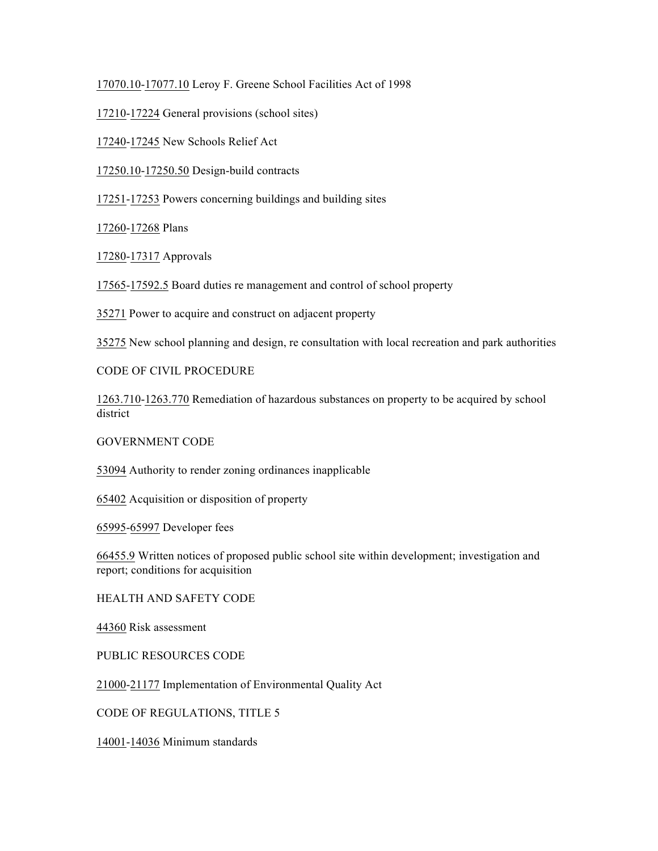17070.10-17077.10 Leroy F. Greene School Facilities Act of 1998

17210-17224 General provisions (school sites)

17240-17245 New Schools Relief Act

17250.10-17250.50 Design-build contracts

17251-17253 Powers concerning buildings and building sites

17260-17268 Plans

17280-17317 Approvals

17565-17592.5 Board duties re management and control of school property

35271 Power to acquire and construct on adjacent property

35275 New school planning and design, re consultation with local recreation and park authorities

CODE OF CIVIL PROCEDURE

1263.710-1263.770 Remediation of hazardous substances on property to be acquired by school district

GOVERNMENT CODE

53094 Authority to render zoning ordinances inapplicable

65402 Acquisition or disposition of property

65995-65997 Developer fees

66455.9 Written notices of proposed public school site within development; investigation and report; conditions for acquisition

HEALTH AND SAFETY CODE

44360 Risk assessment

PUBLIC RESOURCES CODE

21000-21177 Implementation of Environmental Quality Act

CODE OF REGULATIONS, TITLE 5

14001-14036 Minimum standards